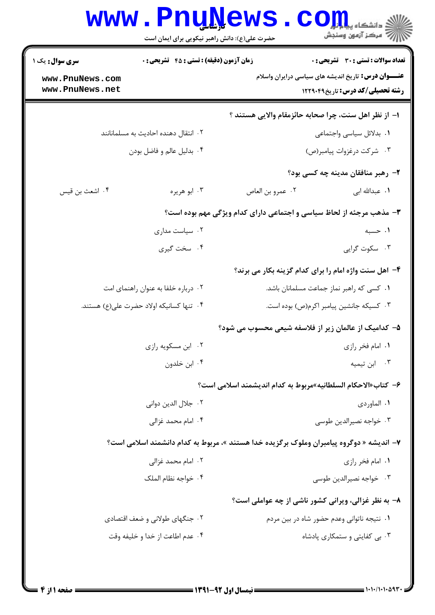| <b>سری سوال :</b> یک ۱              | <b>زمان آزمون (دقیقه) : تستی : 45 تشریحی : 0</b><br>تعداد سوالات : تستى : 30 - تشريحي : 0 |                                                                                          |                                                            |
|-------------------------------------|-------------------------------------------------------------------------------------------|------------------------------------------------------------------------------------------|------------------------------------------------------------|
| www.PnuNews.com                     |                                                                                           |                                                                                          | <b>عنـــوان درس:</b> تاریخ اندیشه های سیاسی درایران واسلام |
| www.PnuNews.net                     |                                                                                           |                                                                                          | <b>رشته تحصیلی/کد درس:</b> تاریخ1۲۲۹۰۴۹                    |
|                                     |                                                                                           | ا– از نظر اهل سنت، چرا صحابه حائزمقام والايي هستند ؟                                     |                                                            |
|                                     | ۰۲ انتقال دهنده احادیث به مسلمانانند                                                      |                                                                                          | ٠١. بدلائل سياسي واجتماعي                                  |
| ۰۴ بدليل عالم و فاضل بودن           |                                                                                           |                                                                                          | ۰۳ شركت درغزوات پيامبر(ص)                                  |
|                                     |                                                                                           |                                                                                          | ۲- رهبر منافقان مدینه چه کسی بود؟                          |
| ۰۴ اشعث بن قيس                      | ۰۳ ابو هريره                                                                              | ٠٢ عمرو بن العاص                                                                         | ۰۱ عبدالله اب <sub>ی</sub>                                 |
|                                     |                                                                                           | ۳- مذهب مرجئه از لحاظ سیاسی و اجتماعی دارای کدام ویژگی مهم بوده است؟                     |                                                            |
| ۰۲ سیاست مداری                      |                                                                                           |                                                                                          | ۰۱ حسبه                                                    |
|                                     | ۰۴ سخت گیری                                                                               |                                                                                          | ۰۳ سکوت گرایی                                              |
|                                     |                                                                                           | ۴- اهل سنت واژه امام را برای کدام گزینه بکار می برند؟                                    |                                                            |
| ۰۲ درباره خلفا به عنوان راهنمای امت |                                                                                           |                                                                                          | ۰۱ کسی که راهبر نماز جماعت مسلمانان باشد.                  |
|                                     | ۰۴ تنها کسانیکه اولاد حضرت علی(ع) هستند.                                                  |                                                                                          | ۰۳ کسیکه جانشین پیامبر اکرم(ص) بوده است.                   |
|                                     |                                                                                           | ۵– کدامیک از عالمان زیر از فلاسفه شیعی محسوب می شود؟                                     |                                                            |
| ۰۲ ابن مسکویه رازی                  |                                                                                           |                                                                                          | ۰۱ امام فخر رازی                                           |
|                                     | ۰۴ ابن خلدون                                                                              |                                                                                          | ۰۳ ابن تیمیه                                               |
|                                     |                                                                                           | ۶– كتاب«الاحكام السلطانيه»مربوط به كدام انديشمند اسلامي است؟                             |                                                            |
| ۰۲ جلال الدين دواني                 |                                                                                           |                                                                                          | ۰۱ الماوردی                                                |
|                                     | ۰۴ امام محمد غزالی                                                                        |                                                                                          | ۰۳ خواجه نصيرالدين طوسى                                    |
|                                     |                                                                                           | ۷– اندیشه « دوگروه پیامبران وملوک برگزیده خدا هستند »، مربوط به کدام دانشمند اسلامی است؟ |                                                            |
| ۰۲ امام محمد غزالی                  |                                                                                           |                                                                                          | ۰۱ امام فخر رازی                                           |
|                                     | ۰۴ خواجه نظام الملک                                                                       |                                                                                          | ۰۳ خواجه نصيرالدين طوسي                                    |
|                                     |                                                                                           | ۸- به نظر غزالی، ویرانی کشور ناشی از چه عواملی است؟                                      |                                                            |
|                                     | ۰۲ جنگهای طولانی و ضعف اقتصادی                                                            |                                                                                          | ۰۱ نتیجه ناتوانی وعدم حضور شاه در بین مردم                 |
| ۰۴ عدم اطاعت از خدا و خليفه وقت     |                                                                                           |                                                                                          | ۰۳ بی کفایتی و ستمکاری پادشاه                              |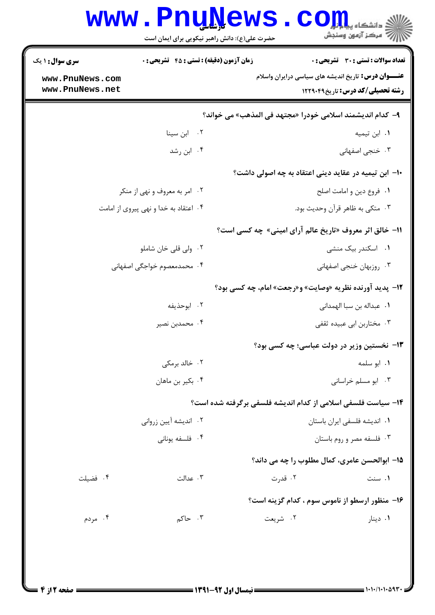|                                    | <b>www.PnuNews</b><br>حضرت علی(ع): دانش راهبر نیکویی برای ایمان است |                                                              | ي<br>چ دانشڪاه پياچ <mark>ر</mark><br>أأأأمركز آزمون وسنجش |
|------------------------------------|---------------------------------------------------------------------|--------------------------------------------------------------|------------------------------------------------------------|
| <b>سری سوال : ۱ یک</b>             | <b>زمان آزمون (دقیقه) : تستی : 45 قشریحی : 0</b>                    |                                                              | تعداد سوالات : تستى : 30 - تشريحي : 0                      |
| www.PnuNews.com<br>www.PnuNews.net |                                                                     | <b>عنــــوان درس:</b> تاریخ اندیشه های سیاسی درایران واسلام  | <b>رشته تحصیلی/کد درس:</b> تاریخ1۲۲۹۰۴۹                    |
|                                    |                                                                     | ۹– كدام انديشمند اسلامي خودرا «مجتهد في المذهب» مي خواند؟    |                                                            |
|                                    | ٠٢ ابن سينا                                                         |                                                              | ٠١. ابن تيميه                                              |
|                                    | ۰۴ ابن رشد                                                          |                                                              | ۰۳ خنجی اصفهانی                                            |
|                                    |                                                                     | ∙ا− ابن تیمیه در عقاید دینی اعتقاد به چه اصولی داشت؟         |                                                            |
| ۰۲ امر به معروف و نهی از منکر      |                                                                     |                                                              | ٠١ فروع دين و امامت اصلح                                   |
|                                    | ۰۴ اعتقاد به خدا و نهی پیروی از امامت                               |                                                              | ۰۳ متکی به ظاهر قرآن وحدیث بود.                            |
|                                    |                                                                     | 11- خالق اثر معروف «تاریخ عالم آرای امینی» چه کسی است؟       |                                                            |
|                                    | ۰۲ ولی قلی خان شاملو                                                |                                                              | ۰۱ اسکندر بیک منشی                                         |
|                                    | ۰۴ محمدمعصوم خواجگی اصفهانی                                         |                                                              | ۰۳ روزبهان خنجي اصفهاني                                    |
|                                    |                                                                     | 12- پدید آورنده نظریه «وصایت» و«رجعت» امام، چه کسی بود؟      |                                                            |
| ۰۲ ابوحذيفه                        |                                                                     |                                                              | ٠١ عبداله بن سبا الهمداني                                  |
|                                    | ۰۴ محمدبن نصير                                                      |                                                              | ۰۳ مختاربن ابی عبیده ثقفی                                  |
|                                    |                                                                     | <b>۱۳</b> - نخستین وزیر در دولت عباسی؛ چه کسی بود؟           |                                                            |
| ۰۲ خالد برمکی                      |                                                                     |                                                              | ۰۱ ابو سلمه                                                |
|                                    | ۰۴ بکیر بن ماهان                                                    |                                                              | ۰۳ ابو مسلم خراسانی                                        |
|                                    |                                                                     | ۱۴– سیاست فلسفی اسلامی از کدام اندیشه فلسفی برگرفته شده است؟ |                                                            |
| ۰۲ اندیشه آیین زروانی              |                                                                     |                                                              | ٠١. انديشه فلسفى ايران باستان                              |
|                                    | ۰۴ فلسفه يوناني                                                     |                                                              | ۰۳ فلسفه مصر و روم باستان                                  |
|                                    |                                                                     | 1۵– ابوالحسن عامري، کمال مطلوب را چه مي داند؟                |                                                            |
| ۰۴ فضيلت                           | ۰۳ عدالت                                                            | ۲. قدرت                                                      | ۰۱ سنت                                                     |
|                                    |                                                                     | ۱۶- منظور ارسطو از ناموس سوم ، کدام گزینه است؟               |                                                            |
| ۰۴ مردم                            | ۰۳ حاکم                                                             | ۰۲ شریعت                                                     | ۰۱ دینار                                                   |
|                                    |                                                                     |                                                              |                                                            |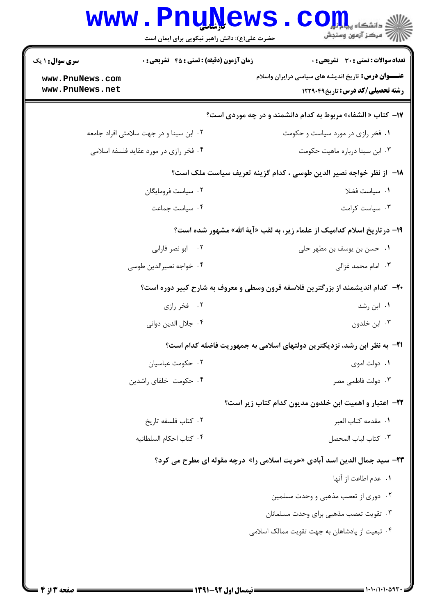|                                                                                      | حضرت علی(ع): دانش راهبر نیکویی برای ایمان است    | رآ مرکز آزمون وسنجش                                                                            |
|--------------------------------------------------------------------------------------|--------------------------------------------------|------------------------------------------------------------------------------------------------|
| <b>سری سوال : ۱ یک</b>                                                               | <b>زمان آزمون (دقیقه) : تستی : 45 گشریحی : 0</b> | تعداد سوالات : تستى : 30 - تشريحي : 0                                                          |
| www.PnuNews.com<br>www.PnuNews.net                                                   |                                                  | <b>عنـــوان درس:</b> تاریخ اندیشه های سیاسی درایران واسلام<br>رشته تحصیلی/کد درس: تاریخ1۲۲۹۰۴۹ |
|                                                                                      |                                                  | <b>۱۷- کتاب « الشفاء» مربوط به کدام دانشمند و در چه موردی است؟</b>                             |
| ٠٢ ابن سينا و در جهت سلامتي افراد جامعه                                              |                                                  | ۰۱ فخر رازی در مورد سیاست و حکومت                                                              |
| ۰۴ فخر رازی در مورد عقاید فلسفه اسلامی                                               |                                                  | ۰۳ ابن سینا درباره ماهیت حکومت                                                                 |
|                                                                                      |                                                  | 18−  ز نظر خواجه نصیر الدین طوسی ، کدام گزینه تعریف سیاست ملک است؟                             |
| ۰۲ سیاست فرومایگان                                                                   |                                                  | ٠١. سياست فضلا                                                                                 |
| ۰۴ سیاست جماعت                                                                       |                                                  | ۰۳ سیاست کرامت                                                                                 |
|                                                                                      |                                                  | ۱۹- در تاریخ اسلام کدامیک از علماء زیر، به لقب «آیهٔ الله» مشهور شده است؟                      |
|                                                                                      | ۰۲ ابو نصر فارابی                                | ٠١ حسن بن يوسف بن مطهر حلي                                                                     |
| ۰۴ خواجه نصيرالدين طوسي                                                              |                                                  | ۰۳ امام محمد غزالی                                                                             |
| <b>-۲-</b> کدام اندیشمند از بزرگترین فلاسفه قرون وسطی و معروف به شارح کبیر دوره است؟ |                                                  |                                                                                                |
| ۰۲ فخر رازی                                                                          |                                                  | ۰۱ ابن رشد                                                                                     |
| ۰۴ جلال الدين دواني                                                                  |                                                  | ۰۳ ابن خلدون                                                                                   |
|                                                                                      |                                                  | ۲۱−  به نظر ابن رشد، نزدیکترین دولتهای اسلامی به جمهوریت فاضله کدام است؟                       |
|                                                                                      | ۰۲ حکومت عباسیان                                 | ۰۱ دولت اموی                                                                                   |
| ۰۴ حکومت خلفای راشدین                                                                |                                                  | ۰۳ دولت فاطمی مصر                                                                              |
|                                                                                      |                                                  | <b>۲۲</b> – اعتبار و اهمیت ابن خلدون مدیون کدام کتاب زیر است؟                                  |
| ۰۲ کتاب فلسفه تاریخ                                                                  |                                                  | ٠١. مقدمه كتاب العبر                                                                           |
| ۰۴ كتاب احكام السلطانيه                                                              |                                                  | ٠٣ كتاب لباب المحصل                                                                            |
|                                                                                      |                                                  | <b>۲۳</b> - سید جمال الدین اسد آبادی «حریت اسلامی را» درچه مقوله ای مطرح می کرد؟               |
|                                                                                      |                                                  | ٠١. عدم اطاعت از آنها                                                                          |
|                                                                                      |                                                  | ۰۲ دوری از تعصب مذهبی و وحدت مسلمین                                                            |
|                                                                                      |                                                  | ۰۳ تقویت تعصب مذهبی برای وحدت مسلمانان                                                         |
|                                                                                      |                                                  | ۰۴ تبعیت از پادشاهان به جهت تقویت ممالک اسلامی                                                 |